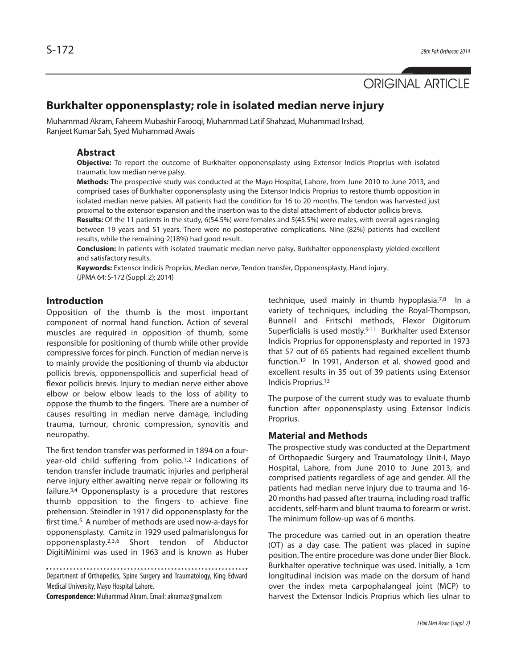# ORIGINAL ARTICLE

# **Burkhalter opponensplasty; role in isolated median nerve injury**

Muhammad Akram, Faheem Mubashir Farooqi, Muhammad Latif Shahzad, Muhammad Irshad, Ranjeet Kumar Sah, Syed Muhammad Awais

#### **Abstract**

**Objective:** To report the outcome of Burkhalter opponensplasty using Extensor Indicis Proprius with isolated traumatic low median nerve palsy.

**Methods:** The prospective study was conducted at the Mayo Hospital, Lahore, from June 2010 to June 2013, and comprised cases of Burkhalter opponensplasty using the Extensor Indicis Proprius to restore thumb opposition in isolated median nerve palsies. All patients had the condition for 16 to 20 months. The tendon was harvested just proximal to the extensor expansion and the insertion was to the distal attachment of abductor pollicis brevis.

**Results:** Of the 11 patients in the study, 6(54.5%) were females and 5(45.5%) were males, with overall ages ranging between 19 years and 51 years. There were no postoperative complications. Nine (82%) patients had excellent results, while the remaining 2(18%) had good result.

**Conclusion:** In patients with isolated traumatic median nerve palsy, Burkhalter opponensplasty yielded excellent and satisfactory results.

**Keywords:** Extensor Indicis Proprius, Median nerve, Tendon transfer, Opponensplasty, Hand injury. (JPMA 64: S-172 (Suppl. 2); 2014)

#### **Introduction**

Opposition of the thumb is the most important component of normal hand function. Action of several muscles are required in opposition of thumb, some responsible for positioning of thumb while other provide compressive forces for pinch. Function of median nerve is to mainly provide the positioning of thumb via abductor pollicis brevis, opponenspollicis and superficial head of flexor pollicis brevis. Injury to median nerve either above elbow or below elbow leads to the loss of ability to oppose the thumb to the fingers. There are a number of causes resulting in median nerve damage, including trauma, tumour, chronic compression, synovitis and neuropathy.

The first tendon transfer was performed in 1894 on a fouryear-old child suffering from polio.<sup>1,2</sup> Indications of tendon transfer include traumatic injuries and peripheral nerve injury either awaiting nerve repair or following its failure.3,4 Opponensplasty is a procedure that restores thumb opposition to the fingers to achieve fine prehension. Steindler in 1917 did opponensplasty for the first time.<sup>5</sup> A number of methods are used now-a-days for opponensplasty. Camitz in 1929 used palmarislongus for opponensplasty.2,3,6 Short tendon of Abductor DigitiMinimi was used in 1963 and is known as Huber

Department of Orthopedics, Spine Surgery and Traumatology, King Edward Medical University, Mayo Hospital Lahore.

**Correspondence:** Muhammad Akram. Email: akramaz@gmail.com

technique, used mainly in thumb hypoplasia.<sup>7,8</sup> In a variety of techniques, including the Royal-Thompson, Bunnell and Fritschi methods, Flexor Digitorum Superficialis is used mostly.9-11 Burkhalter used Extensor Indicis Proprius for opponensplasty and reported in 1973 that 57 out of 65 patients had regained excellent thumb function.<sup>12</sup> In 1991, Anderson et al. showed good and excellent results in 35 out of 39 patients using Extensor Indicis Proprius.<sup>13</sup>

The purpose of the current study was to evaluate thumb function after opponensplasty using Extensor Indicis Proprius.

#### **Material and Methods**

The prospective study was conducted at the Department of Orthopaedic Surgery and Traumatology Unit-I, Mayo Hospital, Lahore, from June 2010 to June 2013, and comprised patients regardless of age and gender. All the patients had median nerve injury due to trauma and 16- 20 months had passed after trauma, including road traffic accidents, self-harm and blunt trauma to forearm or wrist. The minimum follow-up was of 6 months.

The procedure was carried out in an operation theatre (OT) as a day case. The patient was placed in supine position. The entire procedure was done under Bier Block. Burkhalter operative technique was used. Initially, a 1cm longitudinal incision was made on the dorsum of hand over the index meta carpophalangeal joint (MCP) to harvest the Extensor Indicis Proprius which lies ulnar to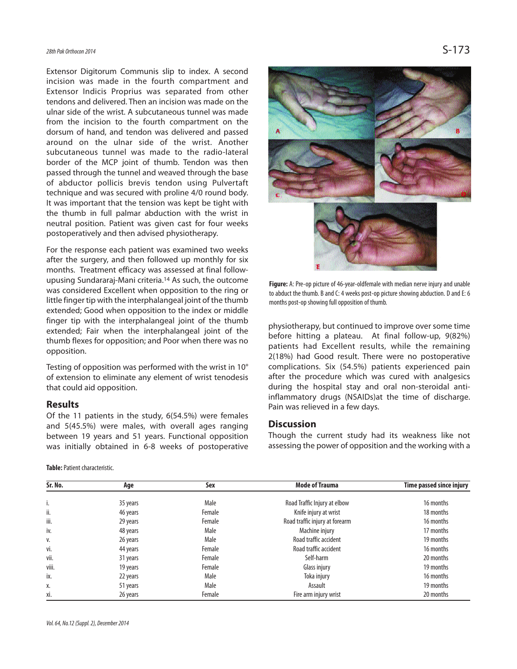## 28th Pak Orthocon 2014  $S-173$

Extensor Digitorum Communis slip to index. A second incision was made in the fourth compartment and Extensor Indicis Proprius was separated from other tendons and delivered. Then an incision was made on the ulnar side of the wrist. A subcutaneous tunnel was made from the incision to the fourth compartment on the dorsum of hand, and tendon was delivered and passed around on the ulnar side of the wrist. Another subcutaneous tunnel was made to the radio-lateral border of the MCP joint of thumb. Tendon was then passed through the tunnel and weaved through the base of abductor pollicis brevis tendon using Pulvertaft technique and was secured with proline 4/0 round body. It was important that the tension was kept be tight with the thumb in full palmar abduction with the wrist in neutral position. Patient was given cast for four weeks postoperatively and then advised physiotherapy.

For the response each patient was examined two weeks after the surgery, and then followed up monthly for six months. Treatment efficacy was assessed at final followupusing Sundararaj-Mani criteria.<sup>14</sup> As such, the outcome was considered Excellent when opposition to the ring or little finger tip with the interphalangeal joint of the thumb extended; Good when opposition to the index or middle finger tip with the interphalangeal joint of the thumb extended; Fair when the interphalangeal joint of the thumb flexes for opposition; and Poor when there was no opposition.

Testing of opposition was performed with the wrist in 10° of extension to eliminate any element of wrist tenodesis that could aid opposition.

#### **Results**

Of the 11 patients in the study, 6(54.5%) were females and 5(45.5%) were males, with overall ages ranging between 19 years and 51 years. Functional opposition was initially obtained in 6-8 weeks of postoperative

**Table:** Patient characteristic.



**Figure:** A: Pre-op picture of 46-year-oldfemale with median nerve injury and unable to abduct the thumb. B and C: 4 weeks post-op picture showing abduction. D and E: 6 months post-op showing full opposition of thumb.

physiotherapy, but continued to improve over some time before hitting a plateau. At final follow-up, 9(82%) patients had Excellent results, while the remaining 2(18%) had Good result. There were no postoperative complications. Six (54.5%) patients experienced pain after the procedure which was cured with analgesics during the hospital stay and oral non-steroidal antiinflammatory drugs (NSAIDs)at the time of discharge. Pain was relieved in a few days.

#### **Discussion**

Though the current study had its weakness like not assessing the power of opposition and the working with a

| Sr. No. | Age      | Sex    | <b>Mode of Trauma</b>          | Time passed since injury |
|---------|----------|--------|--------------------------------|--------------------------|
| i.      | 35 years | Male   | Road Traffic Injury at elbow   | 16 months                |
| ii.     | 46 years | Female | Knife injury at wrist          | 18 months                |
| iii.    | 29 years | Female | Road traffic injury at forearm | 16 months                |
| iv.     | 48 years | Male   | Machine injury                 | 17 months                |
| V.      | 26 years | Male   | Road traffic accident          | 19 months                |
| vi.     | 44 years | Female | Road traffic accident          | 16 months                |
| vii.    | 31 years | Female | Self-harm                      | 20 months                |
| viii.   | 19 years | Female | Glass injury                   | 19 months                |
| ix.     | 22 years | Male   | Toka injury                    | 16 months                |
| Χ.      | 51 years | Male   | Assault                        | 19 months                |
| xi.     | 26 years | Female | Fire arm injury wrist          | 20 months                |